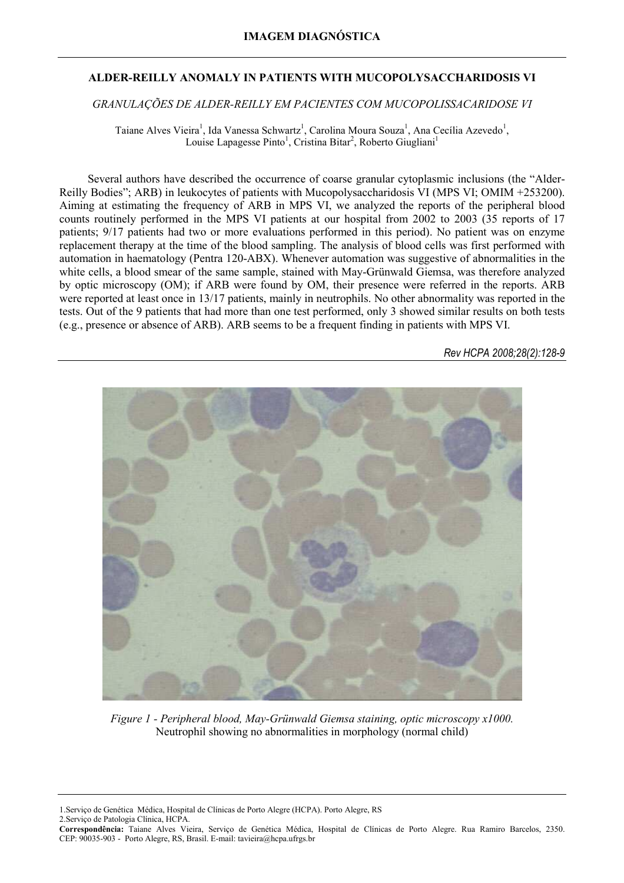## **ALDER-REILLY ANOMALY IN PATIENTS WITH MUCOPOLYSACCHARIDOSIS VI**

## *GRANULAÇÕES DE ALDER-REILLY EM PACIENTES COM MUCOPOLISSACARIDOSE VI*

Taiane Alves Vieira<sup>1</sup>, Ida Vanessa Schwartz<sup>1</sup>, Carolina Moura Souza<sup>1</sup>, Ana Cecília Azevedo<sup>1</sup>, Louise Lapagesse Pinto<sup>1</sup>, Cristina Bitar<sup>2</sup>, Roberto Giugliani<sup>1</sup>

Several authors have described the occurrence of coarse granular cytoplasmic inclusions (the "Alder-Reilly Bodies"; ARB) in leukocytes of patients with Mucopolysaccharidosis VI (MPS VI; OMIM +253200). Aiming at estimating the frequency of ARB in MPS VI, we analyzed the reports of the peripheral blood counts routinely performed in the MPS VI patients at our hospital from 2002 to 2003 (35 reports of 17 patients; 9/17 patients had two or more evaluations performed in this period). No patient was on enzyme replacement therapy at the time of the blood sampling. The analysis of blood cells was first performed with automation in haematology (Pentra 120-ABX). Whenever automation was suggestive of abnormalities in the white cells, a blood smear of the same sample, stained with May-Grünwald Giemsa, was therefore analyzed by optic microscopy (OM); if ARB were found by OM, their presence were referred in the reports. ARB were reported at least once in 13/17 patients, mainly in neutrophils. No other abnormality was reported in the tests. Out of the 9 patients that had more than one test performed, only 3 showed similar results on both tests (e.g., presence or absence of ARB). ARB seems to be a frequent finding in patients with MPS VI.

*Rev HCPA 2008;28(2):128-9* 



*Figure 1 - Peripheral blood, May-Grünwald Giemsa staining, optic microscopy x1000.*  Neutrophil showing no abnormalities in morphology (normal child)

1.Serviço de Genética Médica, Hospital de Clínicas de Porto Alegre (HCPA). Porto Alegre, RS

2.Serviço de Patologia Clínica, HCPA.

**Correspondência:** Taiane Alves Vieira, Serviço de Genética Médica, Hospital de Clínicas de Porto Alegre. Rua Ramiro Barcelos, 2350. CEP: 90035-903 - Porto Alegre, RS, Brasil. E-mail: tavieira@hcpa.ufrgs.br